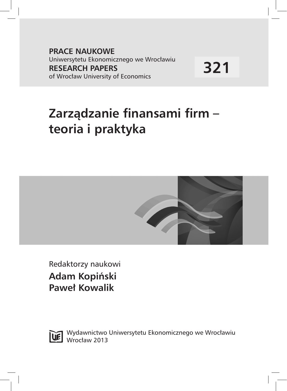**PRACE NAUKOWE** Uniwersytetu Ekonomicznego we Wrocławiu **RESEARCH PAPERS** of Wrocław University of Economics

**321**

# **Zarządzanie finansami firm – teoria i praktyka**



Redaktorzy naukowi **Adam Kopiński Paweł Kowalik**



Wydawnictwo Uniwersytetu Ekonomicznego we Wrocławiu Wrocław 2013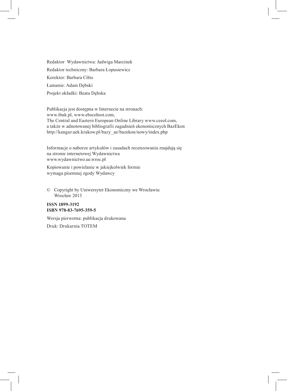Redaktor Wydawnictwa: Jadwiga Marcinek Redaktor techniczny: Barbara Łopusiewicz Korektor: Barbara Cibis Łamanie: Adam Dębski Projekt okładki: Beata Dębska

Publikacja jest dostępna w Internecie na stronach: www.ibuk.pl, www.ebscohost.com, The Central and Eastern European Online Library www.ceeol.com, a także w adnotowanej bibliografii zagadnień ekonomicznych BazEkon http://kangur.uek.krakow.pl/bazy\_ae/bazekon/nowy/index.php

Informacje o naborze artykułów i zasadach recenzowania znajdują się na stronie internetowej Wydawnictwa www.wydawnictwo.ue.wroc.pl

Kopiowanie i powielanie w jakiejkolwiek formie wymaga pisemnej zgody Wydawcy

© Copyright by Uniwersytet Ekonomiczny we Wrocławiu Wrocław 2013

#### **ISSN 1899-3192 ISBN 978-83-7695-359-5**

Wersja pierwotna: publikacja drukowana Druk: Drukarnia TOTEM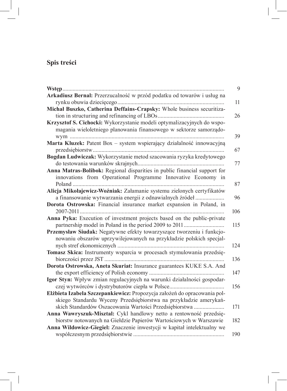## **Spis treści**

|                                                                           | 9   |
|---------------------------------------------------------------------------|-----|
| Arkadiusz Bernal: Przerzucalność w przód podatku od towarów i usług na    |     |
|                                                                           | 11  |
| Michał Buszko, Catherina Deffains-Crapsky: Whole business securitiza-     |     |
|                                                                           | 26  |
| Krzysztof S. Cichocki: Wykorzystanie modeli optymalizacyjnych do wspo-    |     |
| magania wieloletniego planowania finansowego w sektorze samorządo-        | 39  |
| Marta Kluzek: Patent Box - system wspierający działalność innowacyjną     |     |
|                                                                           | 67  |
| Bogdan Ludwiczak: Wykorzystanie metod szacowania ryzyka kredytowego       |     |
|                                                                           | 77  |
| Anna Matras-Bolibok: Regional disparities in public financial support for |     |
| innovations from Operational Programme Innovative Economy in              |     |
| Poland                                                                    | 87  |
| Alicja Mikołajewicz-Woźniak: Załamanie systemu zielonych certyfikatów     |     |
| a finansowanie wytwarzania energii z odnawialnych źródeł                  | 96  |
| Dorota Ostrowska: Financial insurance market expansion in Poland, in      |     |
|                                                                           | 106 |
| Anna Pyka: Execution of investment projects based on the public-private   |     |
|                                                                           | 115 |
| Przemysław Siudak: Negatywne efekty towarzyszące tworzeniu i funkcjo-     |     |
| nowaniu obszarów uprzywilejowanych na przykładzie polskich specjal-       |     |
|                                                                           | 124 |
| Tomasz Skica: Instrumenty wsparcia w procesach stymulowania przedsię-     |     |
|                                                                           | 136 |
| Dorota Ostrowska, Aneta Skuriat: Insurance guarantees KUKE S.A. And       |     |
|                                                                           | 147 |
| Igor Styn: Wpływ zmian regulacyjnych na warunki działalności gospodar-    |     |
|                                                                           | 156 |
| Elżbieta Izabela Szczepankiewicz: Propozycja założeń do opracowania pol-  |     |
| skiego Standardu Wyceny Przedsiębiorstwa na przykładzie amerykań-         |     |
| skich Standardów Oszacowania Wartości Przedsiębiorstwa                    | 171 |
| Anna Wawryszuk-Misztal: Cykl handlowy netto a rentowność przedsię-        |     |
| biorstw notowanych na Giełdzie Papierów Wartościowych w Warszawie         | 182 |
| Anna Wildowicz-Giegiel: Znaczenie inwestycji w kapitał intelektualny we   |     |
|                                                                           | 190 |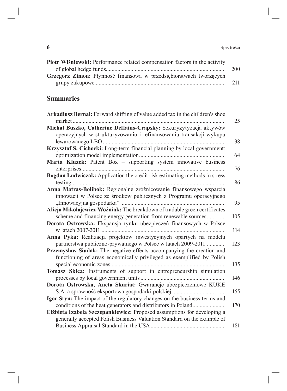| Piotr Wiśniewski: Performance related compensation factors in the activity |     |
|----------------------------------------------------------------------------|-----|
|                                                                            | 200 |
| Grzegorz Zimon: Płynność finansowa w przedsiębiorstwach tworzących         |     |
|                                                                            | 211 |

## **Summaries**

| Arkadiusz Bernal: Forward shifting of value added tax in the children's shoe             |     |
|------------------------------------------------------------------------------------------|-----|
|                                                                                          | 25  |
| Michał Buszko, Catherine Deffains-Crapsky: Sekuryzytyzacja aktywów                       |     |
| operacyjnych w strukturyzowaniu i refinansowaniu transakcji wykupu                       |     |
|                                                                                          | 38  |
| Krzysztof S. Cichocki: Long-term financial planning by local government:                 | 64  |
| Marta Kluzek: Patent Box - supporting system innovative business                         |     |
|                                                                                          | 76  |
| Bogdan Ludwiczak: Application the credit risk estimating methods in stress               |     |
|                                                                                          | 86  |
| Anna Matras-Bolibok: Regionalne zróżnicowanie finansowego wsparcia                       |     |
| innowacji w Polsce ze środków publicznych z Programu operacyjnego                        |     |
|                                                                                          | 95  |
| Alicja Mikołajewicz-Woźniak: The breakdown of tradable green certificates                |     |
| scheme and financing energy generation from renewable sources                            | 105 |
| Dorota Ostrowska: Ekspansja rynku ubezpieczeń finansowych w Polsce<br>w latach 2007-2011 | 114 |
| Anna Pyka: Realizacja projektów inwestycyjnych opartych na modelu                        |     |
| partnerstwa publiczno-prywatnego w Polsce w latach 2009-2011                             | 123 |
| Przemysław Siudak: The negative effects accompanying the creation and                    |     |
| functioning of areas economically privileged as exemplified by Polish                    |     |
|                                                                                          | 135 |
| Tomasz Skica: Instruments of support in entrepreneurship simulation                      |     |
|                                                                                          | 146 |
| Dorota Ostrowska, Aneta Skuriat: Gwarancje ubezpieczeniowe KUKE                          |     |
|                                                                                          | 155 |
| Igor Styn: The impact of the regulatory changes on the business terms and                |     |
| conditions of the heat generators and distributors in Poland                             | 170 |
| Elżbieta Izabela Szczepankiewicz: Proposed assumptions for developing a                  |     |
| generally accepted Polish Business Valuation Standard on the example of                  |     |
|                                                                                          | 181 |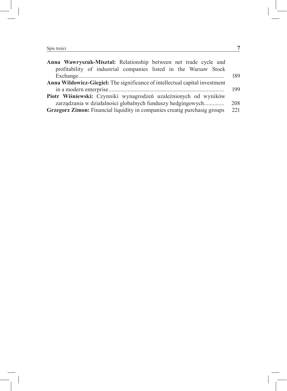| Anna Wawryszuk-Misztal: Relationship between net trade cycle and            |     |
|-----------------------------------------------------------------------------|-----|
| profitability of industrial companies listed in the Warsaw Stock            |     |
|                                                                             | 189 |
| Anna Wildowicz-Giegiel: The significance of intellectual capital investment |     |
|                                                                             | 199 |
| Piotr Wiśniewski: Czynniki wynagrodzeń uzależnionych od wyników             |     |
| zarządzania w działalności globalnych funduszy hedgingowych                 | 208 |
| Grzegorz Zimon: Financial liquidity in companies creatig purchasig groups   | 221 |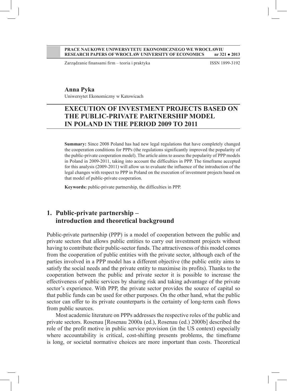#### **PRACE NAUKOWE UNIWERSYTETU EKONOMICZNEGO WE WROCŁAWIU RESEARCH PAPERS OF WROCŁAW UNIVERSITY OF ECONOMICS nr 321 ● 2013**

Zarządzanie finansami firm – teoria i praktyka ISSN 1899-3192

#### **Anna Pyka**

Uniwersytet Ekonomiczny w Katowicach

## **EXECUTION OF INVESTMENT PROJECTS BASED ON THE PUBLIC-PRIVATE PARTNERSHIP MODEL IN POLAND IN THE PERIOD 2009 TO 2011**

**Summary:** Since 2008 Poland has had new legal regulations that have completely changed the cooperation conditions for PPPs (the regulations significantly improved the popularity of the public-private cooperation model). The article aims to assess the popularity of PPP models in Poland in 2009-2011, taking into account the difficulties in PPP. The timeframe accepted for this analysis (2009-2011) will allow us to evaluate the influence of the introduction of the legal changes with respect to PPP in Poland on the execution of investment projects based on that model of public-private cooperation.

**Keywords:** public-private partnership, the difficulties in PPP.

## **1. Public-private partnership – introduction and theoretical background**

Public-private partnership (PPP) is a model of cooperation between the public and private sectors that allows public entities to carry out investment projects without having to contribute their public-sector funds. The attractiveness of this model comes from the cooperation of public entities with the private sector, although each of the parties involved in a PPP model has a different objective (the public entity aims to satisfy the social needs and the private entity to maximise its profits). Thanks to the cooperation between the public and private sector it is possible to increase the effectiveness of public services by sharing risk and taking advantage of the private sector's experience. With PPP, the private sector provides the source of capital so that public funds can be used for other purposes. On the other hand, what the public sector can offer to its private counterparts is the certainty of long-term cash flows from public sources.

Most academic literature on PPPs addresses the respective roles of the public and private sectors. Rosenau [Rosenau 2000a (ed.), Rosenau (ed.) 2000b] described the role of the profit motive in public service provision (in the US context) especially where accountability is critical, cost-shifting presents problems, the timeframe is long, or societal normative choices are more important than costs. Theoretical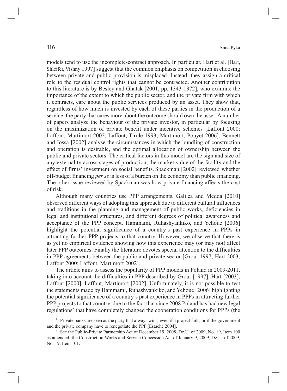models tend to use the incomplete-contract approach. In particular, Hart et al. [Hart, Shleifer, Vishny 1997] suggest that the common emphasis on competition in choosing between private and public provision is misplaced. Instead, they assign a critical role to the residual control rights that cannot be contracted. Another contribution to this literature is by Besley and Ghatak [2001, pp. 1343-1372], who examine the importance of the extent to which the public sector, and the private firm with which it contracts, care about the public services produced by an asset. They show that, regardless of how much is invested by each of these parties in the production of a service, the party that cares more about the outcome should own the asset. A number of papers analyze the behaviour of the private investor, in particular by focusing on the maximization of private benefit under incentive schemes [Laffont 2000; Laffont, Martimort 2002; Laffont, Tirole 1993; Martimort, Pouyet 2006]. Bennett and Iossa [2002] analyse the circumstances in which the bundling of construction and operation is desirable, and the optimal allocation of ownership between the public and private sectors. The critical factors in this model are the sign and size of any externality across stages of production, the market value of the facility and the effect of firms' investment on social benefits. Spackman [2002] reviewed whether off-budget financing *per se* is less of a burden on the economy than public financing. The other issue reviewed by Spackman was how private financing affects the cost of risk.

Although many countries use PPP arrangements, Galilea and Medda [2010] observed different ways of adopting this approach due to different cultural influences and traditions in the planning and management of public works, deficiencies in legal and institutional structures, and different degrees of political awareness and acceptance of the PPP concept. Hammami, Ruhashyankiko, and Yehoue [2006] highlight the potential significance of a country's past experience in PPPs in attracting further PPP projects to that country. However, we observe that there is as yet no empirical evidence showing how this experience may (or may not) affect later PPP outcomes. Finally the literature devotes special attention to the difficulties in PPP agreements between the public and private sector [Grout 1997; Hart 2003; Laffont 2000; Laffont, Martimort 2002].<sup>1</sup>

The article aims to assess the popularity of PPP models in Poland in 2009-2011, taking into account the difficulties in PPP described by Grout [1997], Hart [2003], Laffont [2000], Laffont, Martimort [2002]. Unfortunately, it is not possible to test the statements made by Hammami, Ruhashyankiko, and Yehoue [2006] highlighting the potential significance of a country's past experience in PPPs in attracting further PPP projects to that country, due to the fact that since 2008 Poland has had new legal regulations<sup>2</sup> that have completely changed the cooperation conditions for PPPs (the

<sup>1</sup> Private banks are seen as the party that always wins, even if a project fails, or if the government and the private company have to renegotiate the PPP [Estache 2004].

<sup>2</sup> See the Public-Private Partnership Act of December 19, 2008, Dz.U. of 2009, No. 19, Item 100 as amended; the Construction Works and Service Concession Act of January 9, 2009, Dz.U. of 2009, No. 19, Item 101.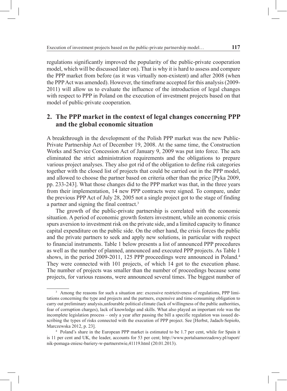regulations significantly improved the popularity of the public-private cooperation model, which will be discussed later on). That is why it is hard to assess and compare the PPP market from before (as it was virtually non-existent) and after 2008 (when the PPP Act was amended). However, the timeframe accepted for this analysis (2009- 2011) will allow us to evaluate the influence of the introduction of legal changes with respect to PPP in Poland on the execution of investment projects based on that model of public-private cooperation.

## **2. The PPP market in the context of legal changes concerning PPP and the global economic situation**

A breakthrough in the development of the Polish PPP market was the new Public-Private Partnership Act of December 19, 2008. At the same time, the Construction Works and Service Concession Act of January 9, 2009 was put into force. The acts eliminated the strict administration requirements and the obligations to prepare various project analyses. They also got rid of the obligation to define risk categories together with the closed list of projects that could be carried out in the PPP model, and allowed to choose the partner based on criteria other than the price [Pyka 2009, pp. 233-243]. What those changes did to the PPP market was that, in the three years from their implementation, 14 new PPP contracts were signed. To compare, under the previous PPP Act of July 28, 2005 not a single project got to the stage of finding a partner and signing the final contract.3

The growth of the public-private partnership is correlated with the economic situation. A period of economic growth fosters investment, while an economic crisis spurs aversion to investment risk on the private side, and a limited capacity to finance capital expenditure on the public side. On the other hand, the crisis forces the public and the private partners to seek and apply new solutions, in particular with respect to financial instruments. Table 1 below presents a list of announced PPP procedures as well as the number of planned, announced and executed PPP projects. As Table 1 shows, in the period 2009-2011, 125 PPP proceedings were announced in Poland.<sup>4</sup> They were connected with 101 projects, of which 14 got to the execution phase. The number of projects was smaller than the number of proceedings because some projects, for various reasons, were announced several times. The biggest number of

<sup>&</sup>lt;sup>3</sup> Among the reasons for such a situation are: excessive restrictiveness of regulations, PPP limitations concerning the type and projects and the partners, expensive and time-consuming obligation to carry out preliminary analysis,unfourable political climate (lack of willingness of the public authorities, fear of corruption charges), lack of knowledge and skills. What also played an important role was the incomplete legislation process – only a year after passing the bill a specific regulation was issued describing the types of risks connected with the execution of PPP project. See [Herbst, Jadach-Sepioło, Marczewska 2012, p. 23].

<sup>4</sup> Poland's share in the European PPP market is estimated to be 1.7 per cent, while for Spain it is 11 per cent and UK, the leader, accounts for 53 per cent; [http://www.portalsamorzadowy.pl/raport/](http://www.portalsamorzadowy.pl/raport/nik-pomaga-zniesc-bariery-w-partnerstwie,41119.html) [nik-pomaga-zniesc-bariery-w-partnerstwie,41119.html](http://www.portalsamorzadowy.pl/raport/nik-pomaga-zniesc-bariery-w-partnerstwie,41119.html) (20.01.2013).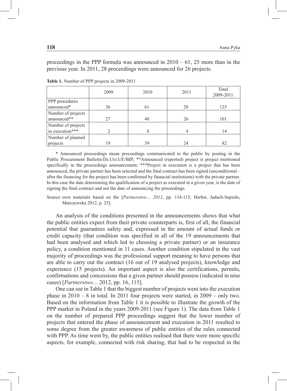proceedings in the PPP formula was announced in  $2010 - 61$ , 25 more than in the previous year. In 2011, 28 proceedings were announced for 26 projects.

|                                       | 2009 | 2010 | 2011 | Total<br>2009-2011 |
|---------------------------------------|------|------|------|--------------------|
| PPP procedures<br>announced*          | 36   | 61   | 28   | 125                |
| Number of projects<br>announced**     | 27   | 48   | 26   | 101                |
| Number of projects<br>in execution*** |      |      |      | 14                 |
| Number of planned<br>projects         | 19   | 39   | 24   | 82                 |

**Table 1.** Number of PPP projects in 2009-2011

\* Announced proceedings mean proceedings communicated to the public by posting in the Public Procurement Bulletin/Dz.Urz.UE/BIP; \*\*Announced (reported) project is project mentioned specifically in the proceedings announcement; \*\*\*Project in execution is a project that has been announced, the private partner has been selected and the final contract has been signed (unconditional – after the financing for the project has been confirmed by financial institutions) with the private partner. In this case the date determining the qualification of a project as executed in a given year, is the date of signing the final contract and not the date of announcing the proceedings.

Source: own materials based on the [*Partnerstwo… 2012*, pp. 114-115; Herbst, Jadach-Sepioło, Marczewska 2012, p. 25].

An analysis of the conditions presented in the announcements shows that what the public entities expect from their private counterparts is, first of all, the financial potential that guarantees safety and, expressed in the amount of actual funds or credit capacity (that condition was specified in all of the 19 announcements that had been analysed and which led to choosing a private partner) or an insurance policy, a condition mentioned in 11 cases. Another condition stipulated in the vast majority of proceedings was the professional support meaning to have persons that are able to carry out the contract (16 out of 19 analysed projects), knowledge and experience (15 projects). An important aspect is also the certifications, permits, confirmations and concessions that a given partner should possess (indicated in nine cases) [*Partnerstwo…* 2012, pp. 16, 115].

One can see in Table 1 that the biggest number of projects went into the execution phase in  $2010 - 8$  in total. In 2011 four projects were started, in  $2009 -$  only two. Based on the information from Table 1 it is possible to illustrate the growth of the PPP market in Poland in the years 2009-2011 (see Figure 1). The data from Table 1 on the number of prepared PPP proceedings suggest that the lower number of projects that entered the phase of announcement and execution in 2011 resulted to some degree from the greater awareness of public entities of the rules connected with PPP. As time went by, the public entities realised that there were more specific aspects, for example, connected with risk sharing, that had to be respected in the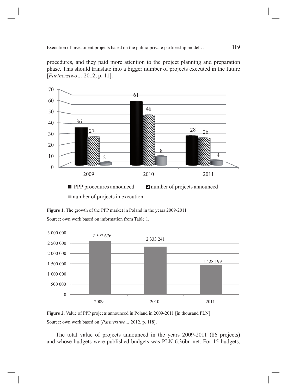procedures, and they paid more attention to the project planning and preparation phase. This should translate into a bigger number of projects executed in the future [*Partnerstwo…* 2012, p. 11].



**Figure 1.** The growth of the PPP market in Poland in the years 2009-2011 Source: own work based on information from Table 1.



**Figure 2.** Value of PPP projects announced in Poland in 2009-2011 [in thousand PLN] Source: own work based on [*Partnerstwo…* 2012, p. 118].

The total value of projects announced in the years 2009-2011 (86 projects) and whose budgets were published budgets was PLN 6.36bn net. For 15 budgets,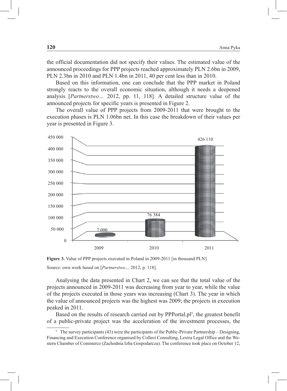the official documentation did not specify their values. The estimated value of the announced proceedings for PPP projects reached approximately PLN 2.6bn in 2009, PLN 2.3bn in 2010 and PLN 1.4bn in 2011, 40 per cent less than in 2010.

Based on this information, one can conclude that the PPP market in Poland strongly reacts to the overall economic situation, although it needs a deepened analysis [*Partnerstwo…* 2012, pp. 11, 118]. A detailed structure value of the announced projects for specific years is presented in Figure 2.

The overall value of PPP projects from 2009-2011 that were brought to the execution phases is PLN 1.06bn net. In this case the breakdown of their values per year is presented in Figure 3.



**Figure 3.** Value of PPP projects executed in Poland in 2009-2011 [in thousand PLN] Source: own work based on [*Partnerstwo…* 2012, p. 118].

Analysing the data presented in Chart 2, we can see that the total value of the projects announced in 2009-2011 was decreasing from year to year, while the value of the projects executed in those years was increasing (Chart 3). The year in which the value of announced projects was the highest was 2009; the projects in execution peaked in 2011.

Based on the results of research carried out by PPPortal.pl<sup>5</sup>, the greatest benefit of a public-private project was the acceleration of the investment processes, the

<sup>&</sup>lt;sup>5</sup> The survey participants (43) were the participants of the Public-Private Partnership – Designing, Financing and Execution Conference organised by Collect Consulting, Lextra Legal Office and the Western Chamber of Commerce (Zachodnia Izba Gospodarcza). The conference took place on October 12,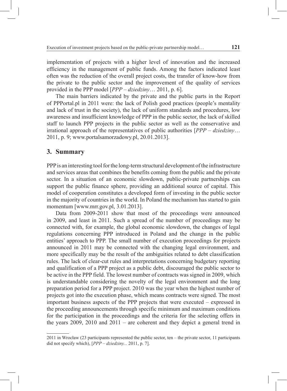implementation of projects with a higher level of innovation and the increased efficiency in the management of public funds. Among the factors indicated least often was the reduction of the overall project costs, the transfer of know-how from the private to the public sector and the improvement of the quality of services provided in the PPP model [*PPP – dziedziny*… 2011, p. 6].

The main barriers indicated by the private and the public parts in the Report of PPPortal.pl in 2011 were: the lack of Polish good practices (people's mentality and lack of trust in the society), the lack of uniform standards and procedures, low awareness and insufficient knowledge of PPP in the public sector, the lack of skilled staff to launch PPP projects in the public sector as well as the conservative and irrational approach of the representatives of public authorities [*PPP – dziedziny*… 2011, p. 9; www.portalsamorzadowy.pl, 20.01.2013].

### **3. Summary**

PPP is an interesting tool for the long-term structural development of the infrastructure and services areas that combines the benefits coming from the public and the private sector. In a situation of an economic slowdown, public-private partnerships can support the public finance sphere, providing an additional source of capital. This model of cooperation constitutes a developed form of investing in the public sector in the majority of countries in the world. In Poland the mechanism has started to gain momentum [[www.mrr.gov.pl,](http://WWW.mrr.GOV.PL) 3.01.2013].

Data from 2009-2011 show that most of the proceedings were announced in 2009, and least in 2011. Such a spread of the number of proceedings may be connected with, for example, the global economic slowdown, the changes of legal regulations concerning PPP introduced in Poland and the change in the public entities' approach to PPP. The small number of execution proceedings for projects announced in 2011 may be connected with the changing legal environment, and more specifically may be the result of the ambiguities related to debt classification rules. The lack of clear-cut rules and interpretations concerning budgetary reporting and qualification of a PPP project as a public debt, discouraged the public sector to be active in the PPP field. The lowest number of contracts was signed in 2009, which is understandable considering the novelty of the legal environment and the long preparation period for a PPP project. 2010 was the year when the highest number of projects got into the execution phase, which means contracts were signed. The most important business aspects of the PPP projects that were executed – expressed in the proceeding announcements through specific minimum and maximum conditions for the participation in the proceedings and the criteria for the selecting offers in the years 2009, 2010 and 2011 – are coherent and they depict a general trend in

<sup>2011</sup> in Wrocław (23 participants represented the public sector, ten – the private sector, 11 participants did not specify which), [*PPP – dziedziny...* 2011, p. 7].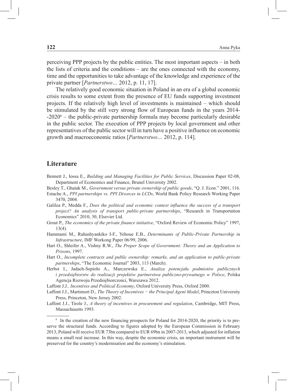perceiving PPP projects by the public entities. The most important aspects – in both the lists of criteria and the conditions – are the ones connected with the economy, time and the opportunities to take advantage of the knowledge and experience of the private partner [*Partnerstwo…* 2012, p. 11, 17].

The relatively good economic situation in Poland in an era of a global economic crisis results to some extent from the presence of EU funds supporting investment projects. If the relatively high level of investments is maintained – which should be stimulated by the still very strong flow of European funds in the years 2014- -2020<sup>6</sup> – the public-private partnership formula may become particularly desirable in the public sector. The execution of PPP projects by local government and other representatives of the public sector will in turn have a positive influence on economic growth and macroeconomic ratios [*Partnerstwo…* 2012, p. 114].

#### **Literature**

- Bennett J., Iossa E., *Building and Managing Facilities for Public Services*, Discussion Paper 02-08, Department of Economics and Finance, Brunel University 2002.
- Besley T., Ghatak M., *Government versus private ownership of public goods*, "Q. J. Econ." 2001, 116.
- Estache A., *PPI partnerships vs. PPI Divorces in LCDs*, World Bank Policy Research Working Paper 3470, 2004.
- Galilea P., Medda F., *Does the political and economic context influence the success of a transport project? An analysis of transport public-private partnerships*, "Research in Transportation Economics" 2010, 30, Elsevier Ltd.
- Grout P., *The economics of the private finance initiative*, "Oxford Review of Economic Policy" 1997, 13(4).
- Hammami M., Ruhashyankiko I-F., Yehoue E.B., *Determinants of Public-Private Partnership in Infrastructure*, IMF Workong Paper 06/99, 2006.
- Hart O., Shleifer A., Vishny R.W., *The Proper Scope of Government: Theory and an Application to Prisons*, 1997.
- Hart O., *Incomplete contracts and public ownership: remarks, and an application to public-private partnerships*, "The Economic Journal" 2003, 113 (March).
- Herbst I., Jadach-Sepioło A., Marczewska E., *Analiza potencjału podmiotów publicznych i przedsiębiorstw do realizacji projektów partnerstwa publiczno-prywatnego w Polsce*, Polska Agencja Rozwoju Przedsiębiorczości, Warszawa 2012.
- Laffont J.J*., Incentives and Political Economy*, Oxford University Press, Oxford 2000.
- Laffont J.J., Martimort D., *The Theory of Incentives − the Principal Agent Model*, Princeton University Press, Princeton, New Jersey 2002.
- Laffont J.J., Tirole J., *A theory of incentives in procurement and regulation*, Cambridge, MIT Press, Massachusetts 1993.

<sup>&</sup>lt;sup>6</sup> In the creation of the new financing prospects for Poland for 2014-2020, the priority is to preserve the structural funds. According to figures adopted by the European Commission in February 2013, Poland will receive EUR 73bn compared to EUR 69bn in 2007-2013, which adjusted for inflation means a small real increase. In this way, despite the economic crisis, an important instrument will be preserved for the country's modernisation and the economy's stimulation.